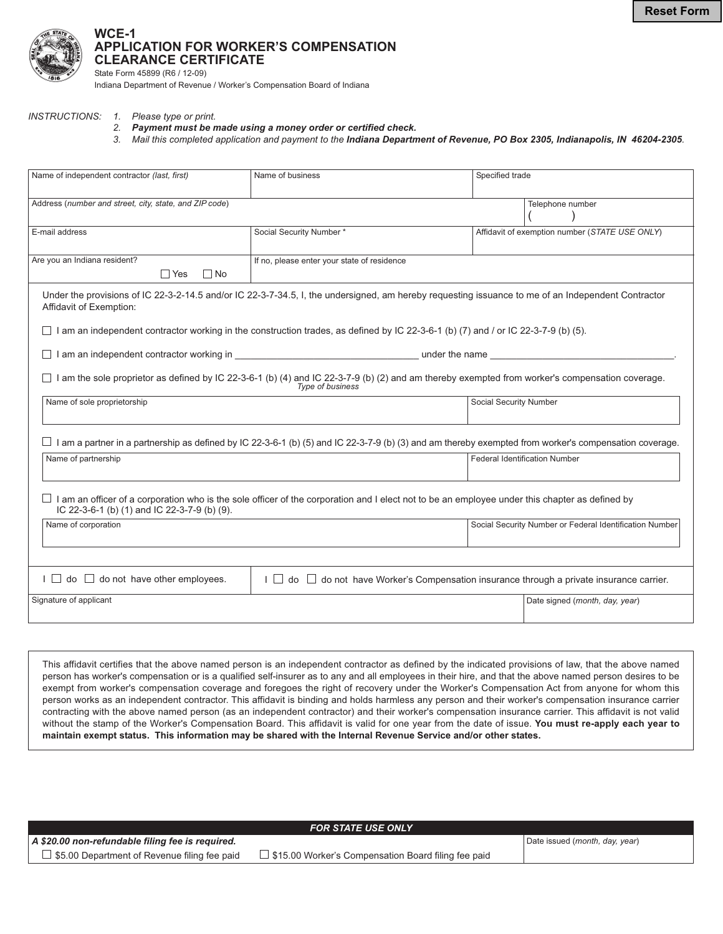

## WCE-1 **APPLICATION FOR WORKER'S COMPENSATION CLEARANCE CERTIFICATE**

State Form 45899 (R6 / 12-09) Indiana Department of Revenue / Worker's Compensation Board of Indiana

### INSTRUCTIONS: 1. Please type or print.

- 2. Payment must be made using a money order or certified check.
- 3. Mail this completed application and payment to the Indiana Department of Revenue, PO Box 2305, Indianapolis, IN 46204-2305.

| Name of independent contractor (last, first)            | Name of business                                                                                                                                                                  | Specified trade                                         |
|---------------------------------------------------------|-----------------------------------------------------------------------------------------------------------------------------------------------------------------------------------|---------------------------------------------------------|
| Address (number and street, city, state, and ZIP code)  |                                                                                                                                                                                   | Telephone number                                        |
| E-mail address                                          | Social Security Number *                                                                                                                                                          | Affidavit of exemption number (STATE USE ONLY)          |
| Are you an Indiana resident?<br>$\Box$ Yes<br>$\Box$ No | If no, please enter your state of residence                                                                                                                                       |                                                         |
| Affidavit of Exemption:                                 | Under the provisions of IC 22-3-2-14.5 and/or IC 22-3-7-34.5, I, the undersigned, am hereby requesting issuance to me of an Independent Contractor                                |                                                         |
|                                                         | I am an independent contractor working in the construction trades, as defined by IC 22-3-6-1 (b) (7) and / or IC 22-3-7-9 (b) (5).                                                |                                                         |
|                                                         |                                                                                                                                                                                   |                                                         |
|                                                         | $\Box$ I am the sole proprietor as defined by IC 22-3-6-1 (b) (4) and IC 22-3-7-9 (b) (2) and am thereby exempted from worker's compensation coverage.<br><b>Type of business</b> |                                                         |
| Name of sole proprietorship                             |                                                                                                                                                                                   | Social Security Number                                  |
|                                                         | $\Box$ I am a partner in a partnership as defined by IC 22-3-6-1 (b) (5) and IC 22-3-7-9 (b) (3) and am thereby exempted from worker's compensation coverage.                     |                                                         |
| Name of partnership                                     |                                                                                                                                                                                   | <b>Federal Identification Number</b>                    |
| IC 22-3-6-1 (b) (1) and IC 22-3-7-9 (b) (9).            | I am an officer of a corporation who is the sole officer of the corporation and I elect not to be an employee under this chapter as defined by                                    |                                                         |
| Name of corporation                                     |                                                                                                                                                                                   | Social Security Number or Federal Identification Number |
|                                                         |                                                                                                                                                                                   |                                                         |
| $\Box$ do $\Box$ do not have other employees.           | $\Box$ do $\Box$ do not have Worker's Compensation insurance through a private insurance carrier.                                                                                 |                                                         |
| Signature of applicant                                  |                                                                                                                                                                                   | Date signed (month, day, year)                          |
|                                                         |                                                                                                                                                                                   |                                                         |

This affidavit certifies that the above named person is an independent contractor as defined by the indicated provisions of law, that the above named person has worker's compensation or is a qualified self-insurer as to any and all employees in their hire, and that the above named person desires to be exempt from worker's compensation coverage and foregoes the right of recovery under the Worker's Compensation Act from anyone for whom this person works as an independent contractor. This affidavit is binding and holds harmless any person and their worker's compensation insurance carrier contracting with the above named person (as an independent contractor) and their worker's compensation insurance carrier. This affidavit is not valid without the stamp of the Worker's Compensation Board. This affidavit is valid for one year from the date of issue. You must re-apply each year to maintain exempt status. This information may be shared with the Internal Revenue Service and/or other states.

| <b>FOR STATE USE ONLY</b>                           |                                                            |                                |  |  |
|-----------------------------------------------------|------------------------------------------------------------|--------------------------------|--|--|
| A \$20.00 non-refundable filing fee is required.    |                                                            | Date issued (month, day, year) |  |  |
| $\Box$ \$5.00 Department of Revenue filing fee paid | $\Box$ \$15.00 Worker's Compensation Board filing fee paid |                                |  |  |